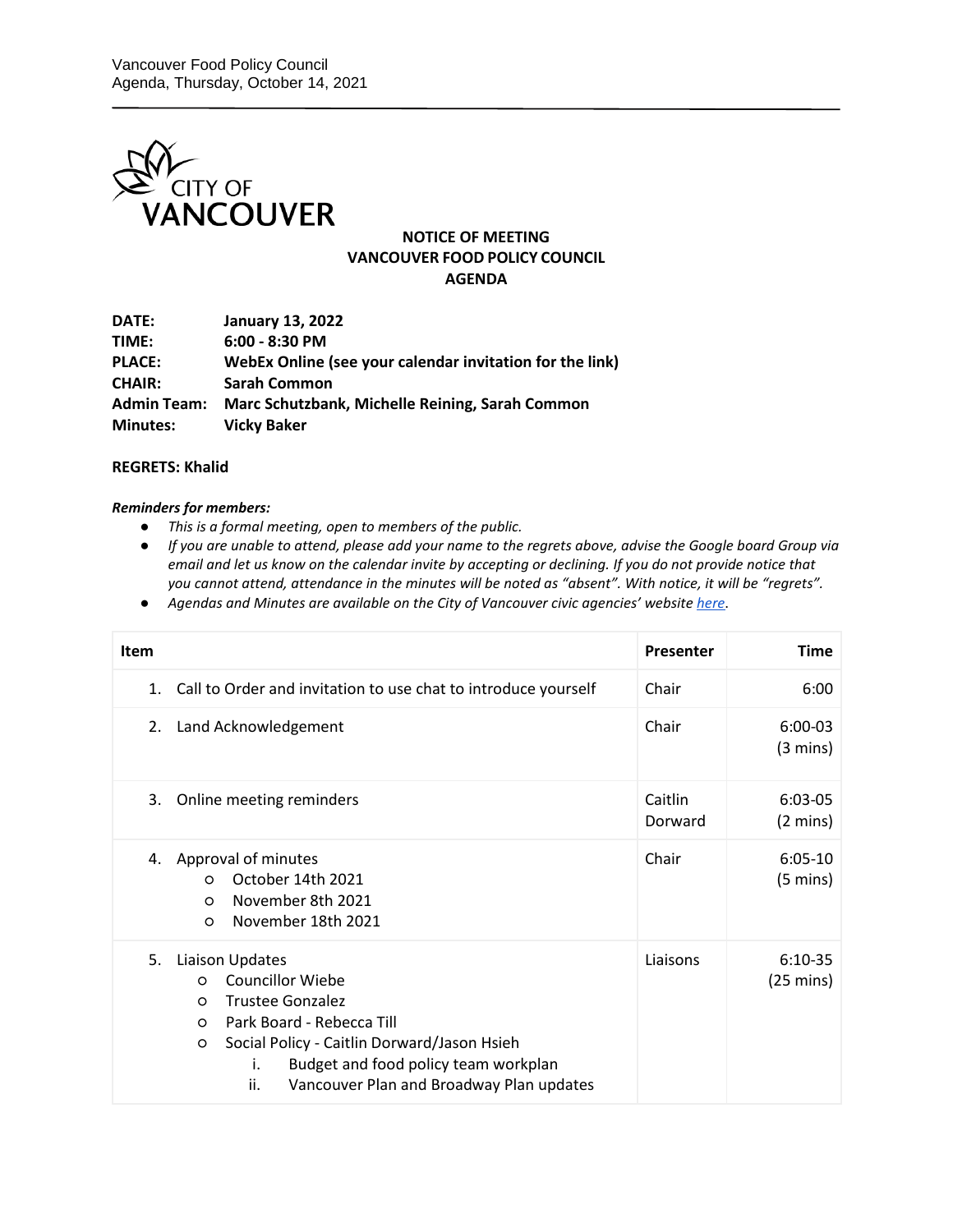

## **NOTICE OF MEETING VANCOUVER FOOD POLICY COUNCIL AGENDA**

| DATE:              | <b>January 13, 2022</b>                                  |
|--------------------|----------------------------------------------------------|
| TIME:              | $6:00 - 8:30$ PM                                         |
| <b>PLACE:</b>      | WebEx Online (see your calendar invitation for the link) |
| <b>CHAIR:</b>      | <b>Sarah Common</b>                                      |
| <b>Admin Team:</b> | Marc Schutzbank, Michelle Reining, Sarah Common          |
| <b>Minutes:</b>    | <b>Vicky Baker</b>                                       |

## **REGRETS: Khalid**

## *Reminders for members:*

- *This is a formal meeting, open to members of the public.*
- *If you are unable to attend, please add your name to the regrets above, advise the Google board Group via email and let us know on the calendar invite by accepting or declining. If you do not provide notice that you cannot attend, attendance in the minutes will be noted as "absent". With notice, it will be "regrets".*
- *Agendas and Minutes are available on the City of Vancouver civic agencies' websit[e here](http://vancouver.ca/your-government/advisory-boards-and-committees.aspx)*.

| <b>Item</b> |                                                                                                                                                                                                                                                                                           | Presenter          | Time                             |
|-------------|-------------------------------------------------------------------------------------------------------------------------------------------------------------------------------------------------------------------------------------------------------------------------------------------|--------------------|----------------------------------|
| 1.          | Call to Order and invitation to use chat to introduce yourself                                                                                                                                                                                                                            | Chair              | 6:00                             |
| 2.          | Land Acknowledgement                                                                                                                                                                                                                                                                      | Chair              | $6:00-03$<br>$(3 \text{ mins})$  |
| 3.          | Online meeting reminders                                                                                                                                                                                                                                                                  | Caitlin<br>Dorward | $6:03-05$<br>$(2 \text{ mins})$  |
| 4.          | Approval of minutes<br>October 14th 2021<br>$\Omega$<br>November 8th 2021<br>$\circ$<br>November 18th 2021<br>$\circ$                                                                                                                                                                     | Chair              | $6:05-10$<br>$(5 \text{ mins})$  |
| 5.          | Liaison Updates<br><b>Councillor Wiebe</b><br>$\Omega$<br><b>Trustee Gonzalez</b><br>$\circ$<br>Park Board - Rebecca Till<br>$\circ$<br>Social Policy - Caitlin Dorward/Jason Hsieh<br>O<br>Budget and food policy team workplan<br>i.<br>ii.<br>Vancouver Plan and Broadway Plan updates | Liaisons           | $6:10-35$<br>$(25 \text{ mins})$ |